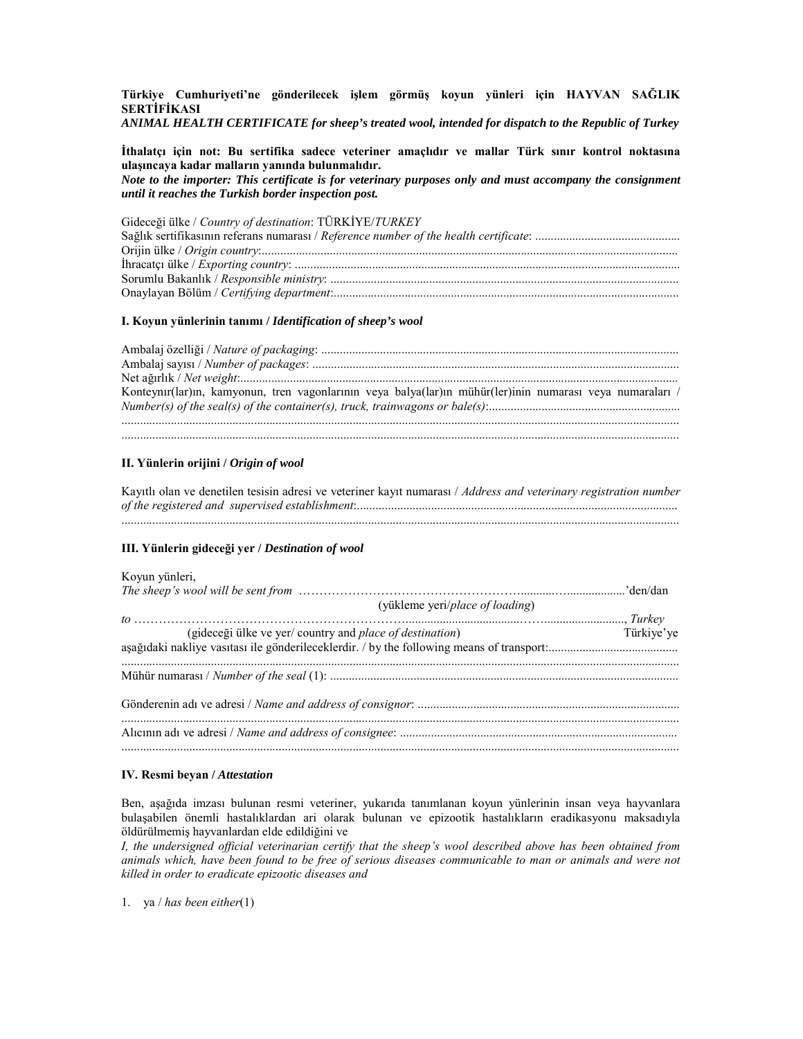Türkiye Cumhuriyeti'ne gönderilecek işlem görmüş koyun yünleri için HAYVAN SAĞLIK **SERTIFIKASI** 

ANIMAL HEALTH CERTIFICATE for sheep's treated wool, intended for dispatch to the Republic of Turkey

İthalatçı için not: Bu sertifika sadece veteriner amaçlıdır ve mallar Türk sınır kontrol noktasına ulasıncaya kadar malların yanında bulunmalıdır. Note to the importer: This certificate is for veterinary purposes only and must accompany the consignment until it reaches the Turkish border inspection post.

Gideceği ülke / Country of destination: TÜRKİYE/TURKEY 

#### I. Koyun yünlerinin tanımı / Identification of sheep's wool

| Konteynır(lar)ın, kamyonun, tren vagonlarının veya balya(lar)ın mühür(ler)inin numarası veya numaraları / |
|-----------------------------------------------------------------------------------------------------------|
|                                                                                                           |
|                                                                                                           |
|                                                                                                           |

## II. Yünlerin orijini / Origin of wool

Kayıtlı olan ve denetilen tesisin adresi ve veteriner kayıt numarası / Address and veterinary registration number 

### III. Yünlerin gideceği ver / Destination of wool

# Kovun vünleri.

| (yükleme yeri/place of loading)                                  |            |
|------------------------------------------------------------------|------------|
| (gideceği ülke ve yer/ country and <i>place of destination</i> ) | Türkiye'ye |
|                                                                  |            |
|                                                                  |            |
|                                                                  |            |

### IV. Resmi beyan / Attestation

Ben, aşağıda imzası bulunan resmi veteriner, yukarıda tanımlanan koyun yünlerinin insan veya hayvanlara bulaşabilen önemli hastalıklardan ari olarak bulunan ve epizootik hastalıkların eradikasyonu maksadıyla öldürülmemis hayvanlardan elde edildiğini ve

I, the undersigned official veterinarian certify that the sheep's wool described above has been obtained from animals which, have been found to be free of serious diseases communicable to man or animals and were not killed in order to eradicate epizootic diseases and

1. ya / has been either(1)